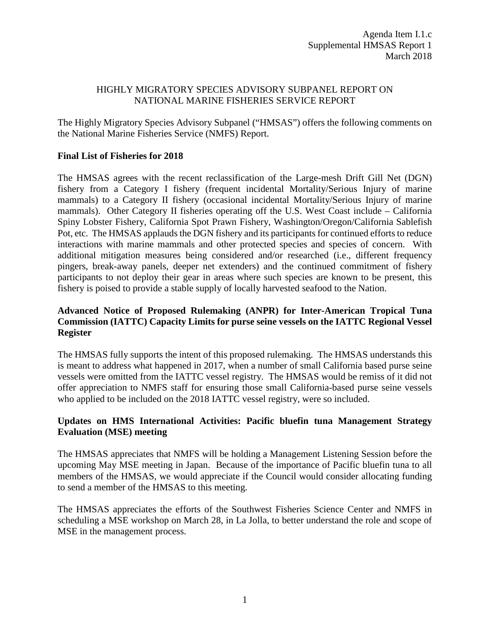## HIGHLY MIGRATORY SPECIES ADVISORY SUBPANEL REPORT ON NATIONAL MARINE FISHERIES SERVICE REPORT

The Highly Migratory Species Advisory Subpanel ("HMSAS") offers the following comments on the National Marine Fisheries Service (NMFS) Report.

## **Final List of Fisheries for 2018**

The HMSAS agrees with the recent reclassification of the Large-mesh Drift Gill Net (DGN) fishery from a Category I fishery (frequent incidental Mortality/Serious Injury of marine mammals) to a Category II fishery (occasional incidental Mortality/Serious Injury of marine mammals). Other Category II fisheries operating off the U.S. West Coast include – California Spiny Lobster Fishery, California Spot Prawn Fishery, Washington/Oregon/California Sablefish Pot, etc. The HMSAS applauds the DGN fishery and its participants for continued efforts to reduce interactions with marine mammals and other protected species and species of concern. With additional mitigation measures being considered and/or researched (i.e., different frequency pingers, break-away panels, deeper net extenders) and the continued commitment of fishery participants to not deploy their gear in areas where such species are known to be present, this fishery is poised to provide a stable supply of locally harvested seafood to the Nation.

# **Advanced Notice of Proposed Rulemaking (ANPR) for Inter-American Tropical Tuna Commission (IATTC) Capacity Limits for purse seine vessels on the IATTC Regional Vessel Register**

The HMSAS fully supports the intent of this proposed rulemaking. The HMSAS understands this is meant to address what happened in 2017, when a number of small California based purse seine vessels were omitted from the IATTC vessel registry. The HMSAS would be remiss of it did not offer appreciation to NMFS staff for ensuring those small California-based purse seine vessels who applied to be included on the 2018 IATTC vessel registry, were so included.

## **Updates on HMS International Activities: Pacific bluefin tuna Management Strategy Evaluation (MSE) meeting**

The HMSAS appreciates that NMFS will be holding a Management Listening Session before the upcoming May MSE meeting in Japan. Because of the importance of Pacific bluefin tuna to all members of the HMSAS, we would appreciate if the Council would consider allocating funding to send a member of the HMSAS to this meeting.

The HMSAS appreciates the efforts of the Southwest Fisheries Science Center and NMFS in scheduling a MSE workshop on March 28, in La Jolla, to better understand the role and scope of MSE in the management process.